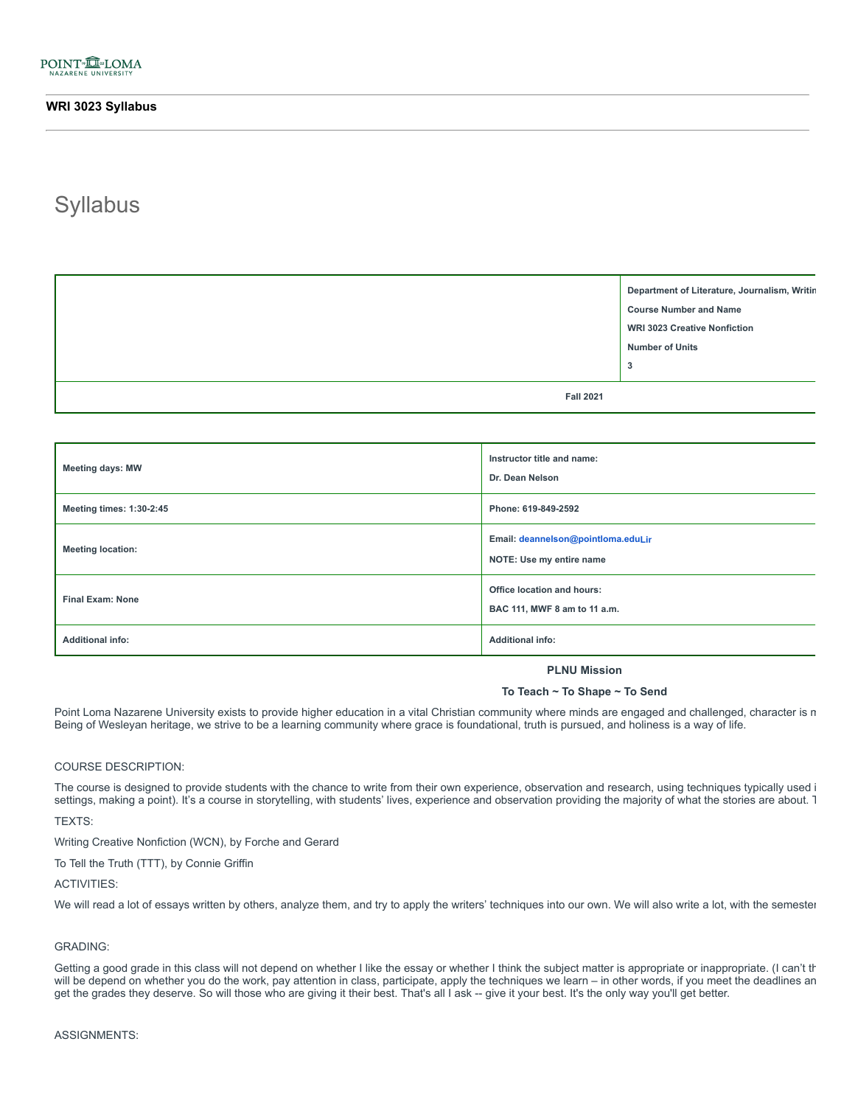# **Syllabus**

|                  | Department of Literature, Journalism, Writin<br><b>Course Number and Name</b><br><b>WRI 3023 Creative Nonfiction</b><br><b>Number of Units</b><br>3 |
|------------------|-----------------------------------------------------------------------------------------------------------------------------------------------------|
| <b>Fall 2021</b> |                                                                                                                                                     |

| <b>Meeting days: MW</b>  | Instructor title and name:<br>Dr. Dean Nelson                     |
|--------------------------|-------------------------------------------------------------------|
| Meeting times: 1:30-2:45 | Phone: 619-849-2592                                               |
| <b>Meeting location:</b> | Email: deannelson@pointloma.eduLir<br>NOTE: Use my entire name    |
| <b>Final Exam: None</b>  | <b>Office location and hours:</b><br>BAC 111, MWF 8 am to 11 a.m. |
| <b>Additional info:</b>  | <b>Additional info:</b>                                           |

# **PLNU Mission**

# **To Teach ~ To Shape ~ To Send**

Point Loma Nazarene University exists to provide higher education in a vital Christian community where minds are engaged and challenged, character is m Being of Wesleyan heritage, we strive to be a learning community where grace is foundational, truth is pursued, and holiness is a way of life.

# COURSE DESCRIPTION:

The course is designed to provide students with the chance to write from their own experience, observation and research, using techniques typically used i settings, making a point). It's a course in storytelling, with students' lives, experience and observation providing the majority of what the stories are about. T

TEXTS:

Writing Creative Nonfiction (WCN), by Forche and Gerard

To Tell the Truth (TTT), by Connie Griffin

# ACTIVITIES:

We will read a lot of essays written by others, analyze them, and try to apply the writers' techniques into our own. We will also write a lot, with the semester

# GRADING:

Getting a good grade in this class will not depend on whether I like the essay or whether I think the subject matter is appropriate or inappropriate. (I can't th will be depend on whether you do the work, pay attention in class, participate, apply the techniques we learn – in other words, if you meet the deadlines an get the grades they deserve. So will those who are giving it their best. That's all I ask -- give it your best. It's the only way you'll get better.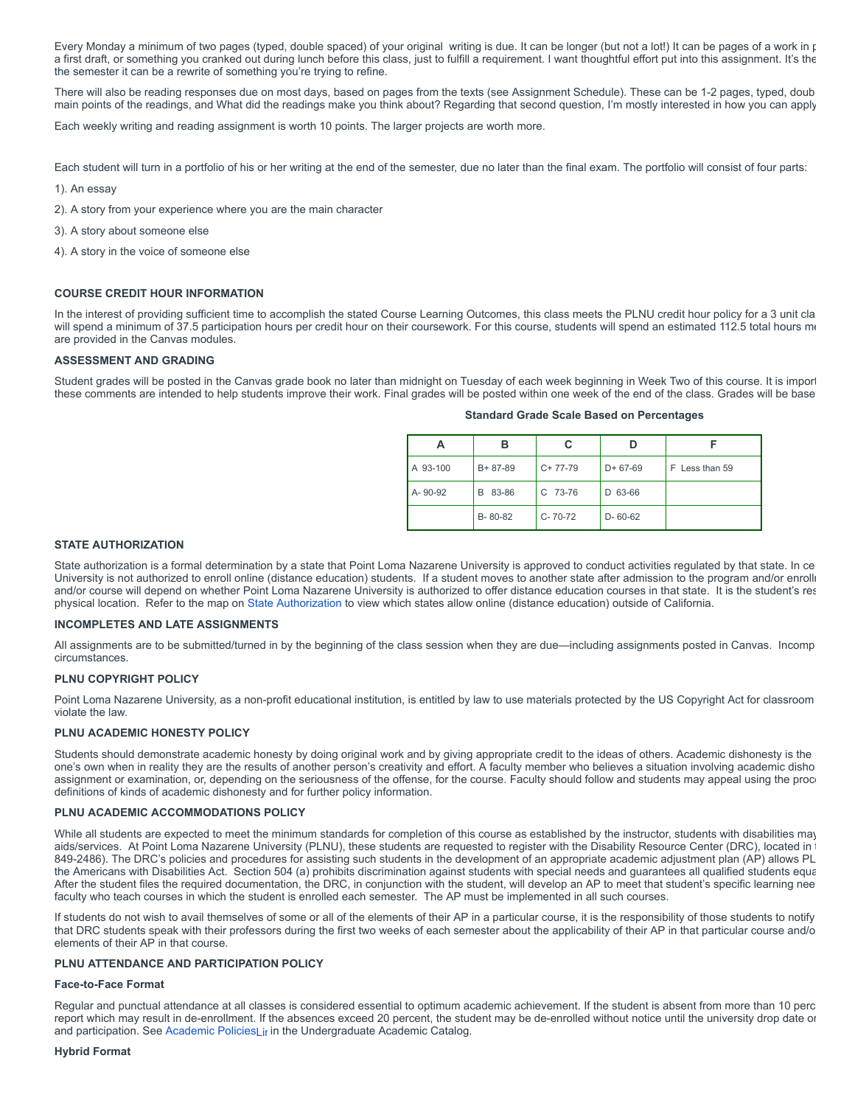Every Monday a minimum of two pages (typed, double spaced) of your original writing is due. It can be longer (but not a lot!) It can be pages of a work in p a first draft, or something you cranked out during lunch before this class, just to fulfill a requirement. I want thoughtful effort put into this assignment. It's the the semester it can be a rewrite of something you're trying to refine.

There will also be reading responses due on most days, based on pages from the texts (see Assignment Schedule). These can be 1-2 pages, typed, doub main points of the readings, and What did the readings make you think about? Regarding that second question, I'm mostly interested in how you can apply

Each weekly writing and reading assignment is worth 10 points. The larger projects are worth more.

Each student will turn in a portfolio of his or her writing at the end of the semester, due no later than the final exam. The portfolio will consist of four parts:

- 1). An essay
- 2). A story from your experience where you are the main character
- 3). A story about someone else
- 4). A story in the voice of someone else

# **COURSE CREDIT HOUR INFORMATION**

In the interest of providing sufficient time to accomplish the stated Course Learning Outcomes, this class meets the PLNU credit hour policy for a 3 unit cla will spend a minimum of 37.5 participation hours per credit hour on their coursework. For this course, students will spend an estimated 112.5 total hours me are provided in the Canvas modules.

# **ASSESSMENT AND GRADING**

Student grades will be posted in the Canvas grade book no later than midnight on Tuesday of each week beginning in Week Two of this course. It is import these comments are intended to help students improve their work. Final grades will be posted within one week of the end of the class. Grades will be base

| А        | в             | С             |               |                |
|----------|---------------|---------------|---------------|----------------|
| A 93-100 | $B + 87 - 89$ | $C+77-79$     | $D+67-69$     | F Less than 59 |
| A-90-92  | 83-86<br>B    | $C$ 73-76     | D 63-66       |                |
|          | B-80-82       | $C - 70 - 72$ | $D - 60 - 62$ |                |

**Standard Grade Scale Based on Percentages**

# **STATE AUTHORIZATION**

State authorization is a formal determination by a state that Point Loma Nazarene University is approved to conduct activities regulated by that state. In ce University is not authorized to enroll online (distance education) students. If a student moves to another state after admission to the program and/or enrolli and/or course will depend on whether Point Loma Nazarene University is authorized to offer distance education courses in that state. It is the student's res physical location. Refer to the map on [State Authorization](https://www.pointloma.edu/offices/office-institutional-effectiveness-research/disclosures) to view which states allow online (distance education) outside of California.

# **INCOMPLETES AND LATE ASSIGNMENTS**

All assignments are to be submitted/turned in by the beginning of the class session when they are due—including assignments posted in Canvas. Incomp circumstances.

# **PLNU COPYRIGHT POLICY**

Point Loma Nazarene University, as a non-profit educational institution, is entitled by law to use materials protected by the US Copyright Act for classroom violate the law.

# **PLNU ACADEMIC HONESTY POLICY**

Students should demonstrate academic honesty by doing original work and by giving appropriate credit to the ideas of others. Academic dishonesty is the one's own when in reality they are the results of another person's creativity and effort. A faculty member who believes a situation involving academic disho assignment or examination, or, depending on the seriousness of the offense, for the course. Faculty should follow and students may appeal using the proce definitions of kinds of academic dishonesty and for further policy information.

# **PLNU ACADEMIC ACCOMMODATIONS POLICY**

While all students are expected to meet the minimum standards for completion of this course as established by the instructor, students with disabilities may aids/services. At Point Loma Nazarene University (PLNU), these students are requested to register with the Disability Resource Center (DRC), located in t 849-2486). The DRC's policies and procedures for assisting such students in the development of an appropriate academic adjustment plan (AP) allows PL the Americans with Disabilities Act. Section 504 (a) prohibits discrimination against students with special needs and guarantees all qualified students equa After the student files the required documentation, the DRC, in conjunction with the student, will develop an AP to meet that student's specific learning nee faculty who teach courses in which the student is enrolled each semester. The AP must be implemented in all such courses.

If students do not wish to avail themselves of some or all of the elements of their AP in a particular course, it is the responsibility of those students to notify that DRC students speak with their professors during the first two weeks of each semester about the applicability of their AP in that particular course and/o elements of their AP in that course.

# **PLNU ATTENDANCE AND PARTICIPATION POLICY**

# **Face-to-Face Format**

Regular and punctual attendance at all classes is considered essential to optimum academic achievement. If the student is absent from more than 10 perc report which may result in de-enrollment. If the absences exceed 20 percent, the student may be de-enrolled without notice until the university drop date or and participation. See Academic Policies $L_{\text{I}}$  in the Undergraduate Academic Catalog.

#### **Hybrid Format**